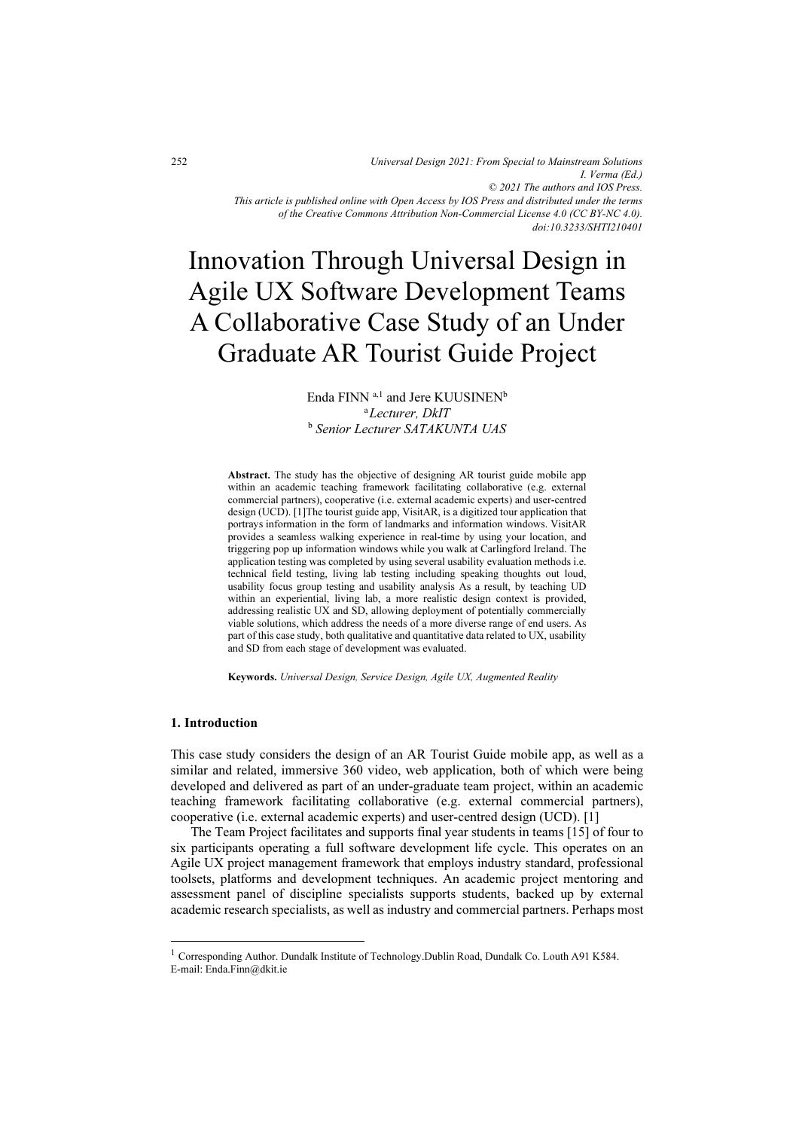*Universal Design 2021: From Special to Mainstream Solutions I. Verma (Ed.) © 2021 The authors and IOS Press. This article is published online with Open Access by IOS Press and distributed under the terms of the Creative Commons Attribution Non-Commercial License 4.0 (CC BY-NC 4.0). doi:10.3233/SHTI210401*

# Innovation Through Universal Design in Agile UX Software Development Teams A Collaborative Case Study of an Under Graduate AR Tourist Guide Project

Enda FINN  $a,1$  and Jere KUUSINEN<sup>b</sup> <sup>a</sup>Lecturer, DkIT <sup>b</sup> Senior Lecturer SATAKUNTA UAS

Abstract. The study has the objective of designing AR tourist guide mobile app within an academic teaching framework facilitating collaborative (e.g. external commercial partners), cooperative (i.e. external academic experts) and user-centred design (UCD). [1]The tourist guide app, VisitAR, is a digitized tour application that portrays information in the form of landmarks and information windows. VisitAR provides a seamless walking experience in real-time by using your location, and triggering pop up information windows while you walk at Carlingford Ireland. The application testing was completed by using several usability evaluation methods i.e. technical field testing, living lab testing including speaking thoughts out loud, usability focus group testing and usability analysis As a result, by teaching UD within an experiential, living lab, a more realistic design context is provided, addressing realistic UX and SD, allowing deployment of potentially commercially viable solutions, which address the needs of a more diverse range of end users. As part of this case study, both qualitative and quantitative data related to UX, usability and SD from each stage of development was evaluated.

Keywords. Universal Design, Service Design, Agile UX, Augmented Reality

## 1. Introduction

This case study considers the design of an AR Tourist Guide mobile app, as well as a similar and related, immersive 360 video, web application, both of which were being developed and delivered as part of an under-graduate team project, within an academic teaching framework facilitating collaborative (e.g. external commercial partners), cooperative (i.e. external academic experts) and user-centred design (UCD). [1]

 The Team Project facilitates and supports final year students in teams [15] of four to six participants operating a full software development life cycle. This operates on an Agile UX project management framework that employs industry standard, professional toolsets, platforms and development techniques. An academic project mentoring and assessment panel of discipline specialists supports students, backed up by external academic research specialists, as well as industry and commercial partners. Perhaps most

<sup>&</sup>lt;sup>1</sup> Corresponding Author. Dundalk Institute of Technology.Dublin Road, Dundalk Co. Louth A91 K584. E-mail: Enda.Finn@dkit.ie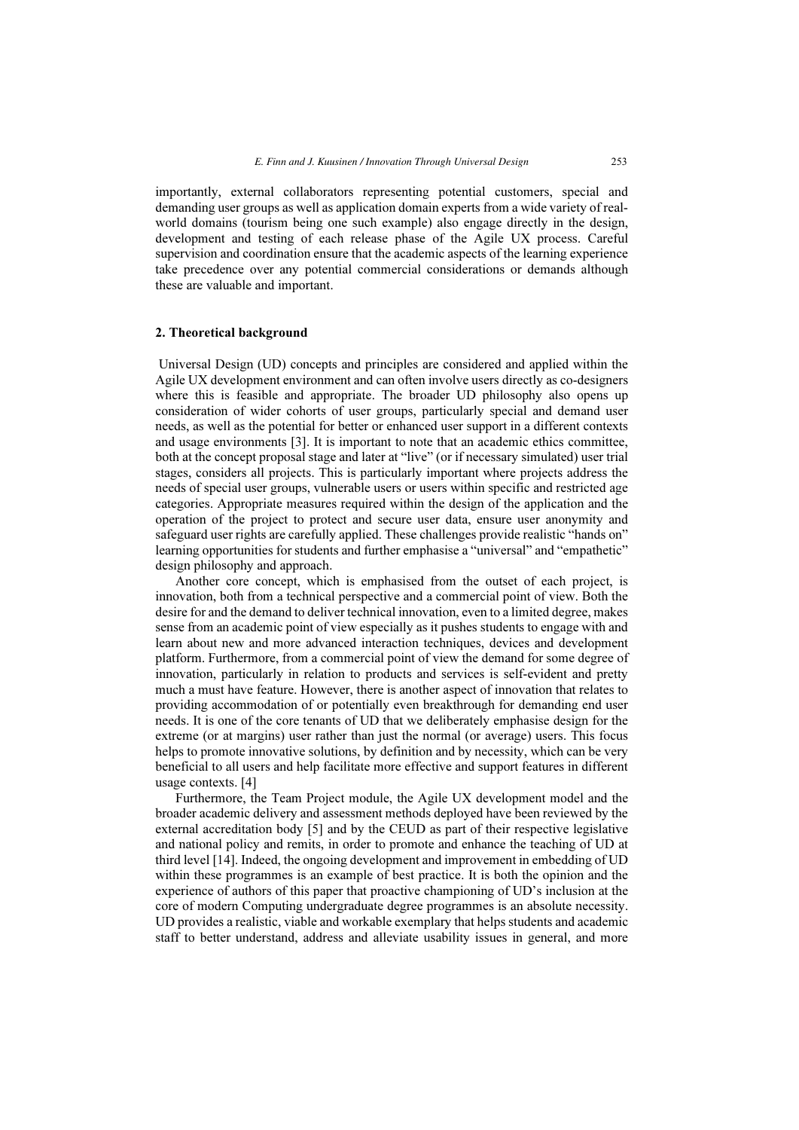importantly, external collaborators representing potential customers, special and demanding user groups as well as application domain experts from a wide variety of realworld domains (tourism being one such example) also engage directly in the design, development and testing of each release phase of the Agile UX process. Careful supervision and coordination ensure that the academic aspects of the learning experience take precedence over any potential commercial considerations or demands although these are valuable and important.

#### 2. Theoretical background

 Universal Design (UD) concepts and principles are considered and applied within the Agile UX development environment and can often involve users directly as co-designers where this is feasible and appropriate. The broader UD philosophy also opens up consideration of wider cohorts of user groups, particularly special and demand user needs, as well as the potential for better or enhanced user support in a different contexts and usage environments [3]. It is important to note that an academic ethics committee, both at the concept proposal stage and later at "live" (or if necessary simulated) user trial stages, considers all projects. This is particularly important where projects address the needs of special user groups, vulnerable users or users within specific and restricted age categories. Appropriate measures required within the design of the application and the operation of the project to protect and secure user data, ensure user anonymity and safeguard user rights are carefully applied. These challenges provide realistic "hands on" learning opportunities for students and further emphasise a "universal" and "empathetic" design philosophy and approach.

 Another core concept, which is emphasised from the outset of each project, is innovation, both from a technical perspective and a commercial point of view. Both the desire for and the demand to deliver technical innovation, even to a limited degree, makes sense from an academic point of view especially as it pushes students to engage with and learn about new and more advanced interaction techniques, devices and development platform. Furthermore, from a commercial point of view the demand for some degree of innovation, particularly in relation to products and services is self-evident and pretty much a must have feature. However, there is another aspect of innovation that relates to providing accommodation of or potentially even breakthrough for demanding end user needs. It is one of the core tenants of UD that we deliberately emphasise design for the extreme (or at margins) user rather than just the normal (or average) users. This focus helps to promote innovative solutions, by definition and by necessity, which can be very beneficial to all users and help facilitate more effective and support features in different usage contexts. [4]

 Furthermore, the Team Project module, the Agile UX development model and the broader academic delivery and assessment methods deployed have been reviewed by the external accreditation body [5] and by the CEUD as part of their respective legislative and national policy and remits, in order to promote and enhance the teaching of UD at third level [14]. Indeed, the ongoing development and improvement in embedding of UD within these programmes is an example of best practice. It is both the opinion and the experience of authors of this paper that proactive championing of UD's inclusion at the core of modern Computing undergraduate degree programmes is an absolute necessity. UD provides a realistic, viable and workable exemplary that helps students and academic staff to better understand, address and alleviate usability issues in general, and more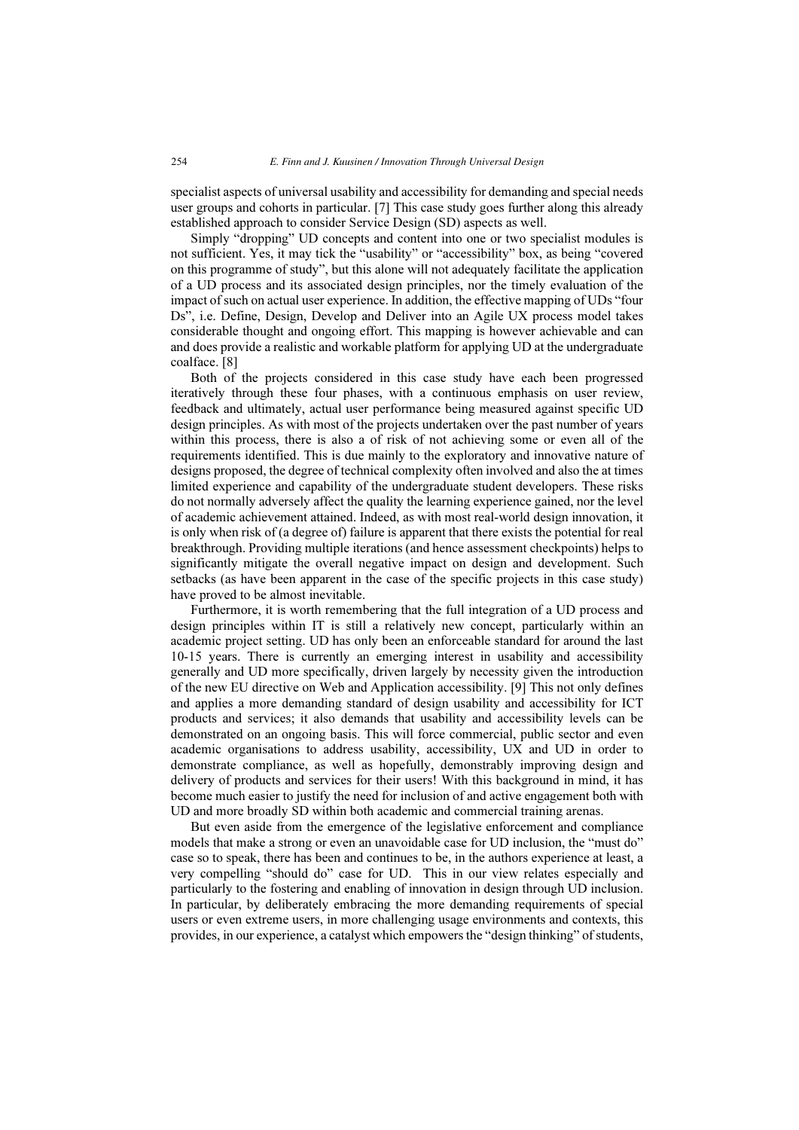specialist aspects of universal usability and accessibility for demanding and special needs user groups and cohorts in particular. [7] This case study goes further along this already established approach to consider Service Design (SD) aspects as well.

 Simply "dropping" UD concepts and content into one or two specialist modules is not sufficient. Yes, it may tick the "usability" or "accessibility" box, as being "covered on this programme of study", but this alone will not adequately facilitate the application of a UD process and its associated design principles, nor the timely evaluation of the impact of such on actual user experience. In addition, the effective mapping of UDs "four Ds", i.e. Define, Design, Develop and Deliver into an Agile UX process model takes considerable thought and ongoing effort. This mapping is however achievable and can and does provide a realistic and workable platform for applying UD at the undergraduate coalface. [8]

 Both of the projects considered in this case study have each been progressed iteratively through these four phases, with a continuous emphasis on user review, feedback and ultimately, actual user performance being measured against specific UD design principles. As with most of the projects undertaken over the past number of years within this process, there is also a of risk of not achieving some or even all of the requirements identified. This is due mainly to the exploratory and innovative nature of designs proposed, the degree of technical complexity often involved and also the at times limited experience and capability of the undergraduate student developers. These risks do not normally adversely affect the quality the learning experience gained, nor the level of academic achievement attained. Indeed, as with most real-world design innovation, it is only when risk of (a degree of) failure is apparent that there exists the potential for real breakthrough. Providing multiple iterations (and hence assessment checkpoints) helps to significantly mitigate the overall negative impact on design and development. Such setbacks (as have been apparent in the case of the specific projects in this case study) have proved to be almost inevitable.

 Furthermore, it is worth remembering that the full integration of a UD process and design principles within IT is still a relatively new concept, particularly within an academic project setting. UD has only been an enforceable standard for around the last 10-15 years. There is currently an emerging interest in usability and accessibility generally and UD more specifically, driven largely by necessity given the introduction of the new EU directive on Web and Application accessibility. [9] This not only defines and applies a more demanding standard of design usability and accessibility for ICT products and services; it also demands that usability and accessibility levels can be demonstrated on an ongoing basis. This will force commercial, public sector and even academic organisations to address usability, accessibility, UX and UD in order to demonstrate compliance, as well as hopefully, demonstrably improving design and delivery of products and services for their users! With this background in mind, it has become much easier to justify the need for inclusion of and active engagement both with UD and more broadly SD within both academic and commercial training arenas.

 But even aside from the emergence of the legislative enforcement and compliance models that make a strong or even an unavoidable case for UD inclusion, the "must do" case so to speak, there has been and continues to be, in the authors experience at least, a very compelling "should do" case for UD. This in our view relates especially and particularly to the fostering and enabling of innovation in design through UD inclusion. In particular, by deliberately embracing the more demanding requirements of special users or even extreme users, in more challenging usage environments and contexts, this provides, in our experience, a catalyst which empowers the "design thinking" of students,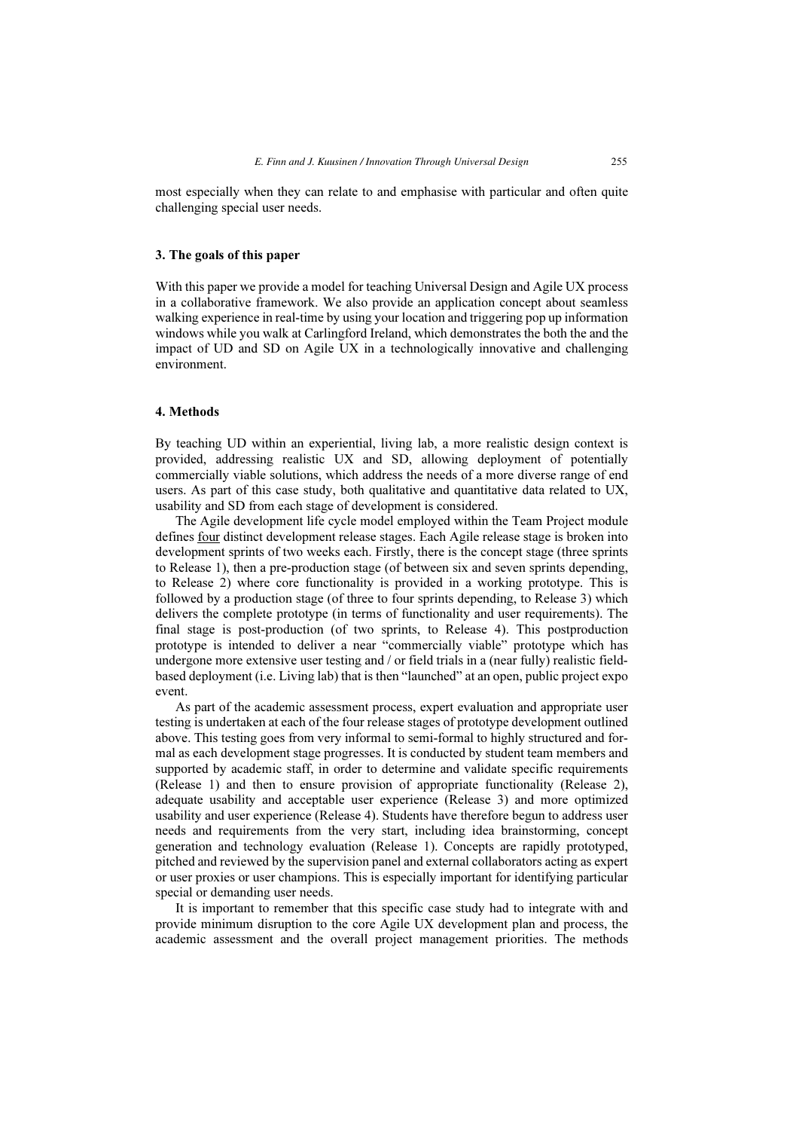most especially when they can relate to and emphasise with particular and often quite challenging special user needs.

#### 3. The goals of this paper

With this paper we provide a model for teaching Universal Design and Agile UX process in a collaborative framework. We also provide an application concept about seamless walking experience in real-time by using your location and triggering pop up information windows while you walk at Carlingford Ireland, which demonstrates the both the and the impact of UD and SD on Agile UX in a technologically innovative and challenging environment.

## 4. Methods

By teaching UD within an experiential, living lab, a more realistic design context is provided, addressing realistic UX and SD, allowing deployment of potentially commercially viable solutions, which address the needs of a more diverse range of end users. As part of this case study, both qualitative and quantitative data related to UX, usability and SD from each stage of development is considered.

 The Agile development life cycle model employed within the Team Project module defines four distinct development release stages. Each Agile release stage is broken into development sprints of two weeks each. Firstly, there is the concept stage (three sprints to Release 1), then a pre-production stage (of between six and seven sprints depending, to Release 2) where core functionality is provided in a working prototype. This is followed by a production stage (of three to four sprints depending, to Release 3) which delivers the complete prototype (in terms of functionality and user requirements). The final stage is post-production (of two sprints, to Release 4). This postproduction prototype is intended to deliver a near "commercially viable" prototype which has undergone more extensive user testing and / or field trials in a (near fully) realistic fieldbased deployment (i.e. Living lab) that is then "launched" at an open, public project expo event.

 As part of the academic assessment process, expert evaluation and appropriate user testing is undertaken at each of the four release stages of prototype development outlined above. This testing goes from very informal to semi-formal to highly structured and formal as each development stage progresses. It is conducted by student team members and supported by academic staff, in order to determine and validate specific requirements (Release 1) and then to ensure provision of appropriate functionality (Release 2), adequate usability and acceptable user experience (Release 3) and more optimized usability and user experience (Release 4). Students have therefore begun to address user needs and requirements from the very start, including idea brainstorming, concept generation and technology evaluation (Release 1). Concepts are rapidly prototyped, pitched and reviewed by the supervision panel and external collaborators acting as expert or user proxies or user champions. This is especially important for identifying particular special or demanding user needs.

 It is important to remember that this specific case study had to integrate with and provide minimum disruption to the core Agile UX development plan and process, the academic assessment and the overall project management priorities. The methods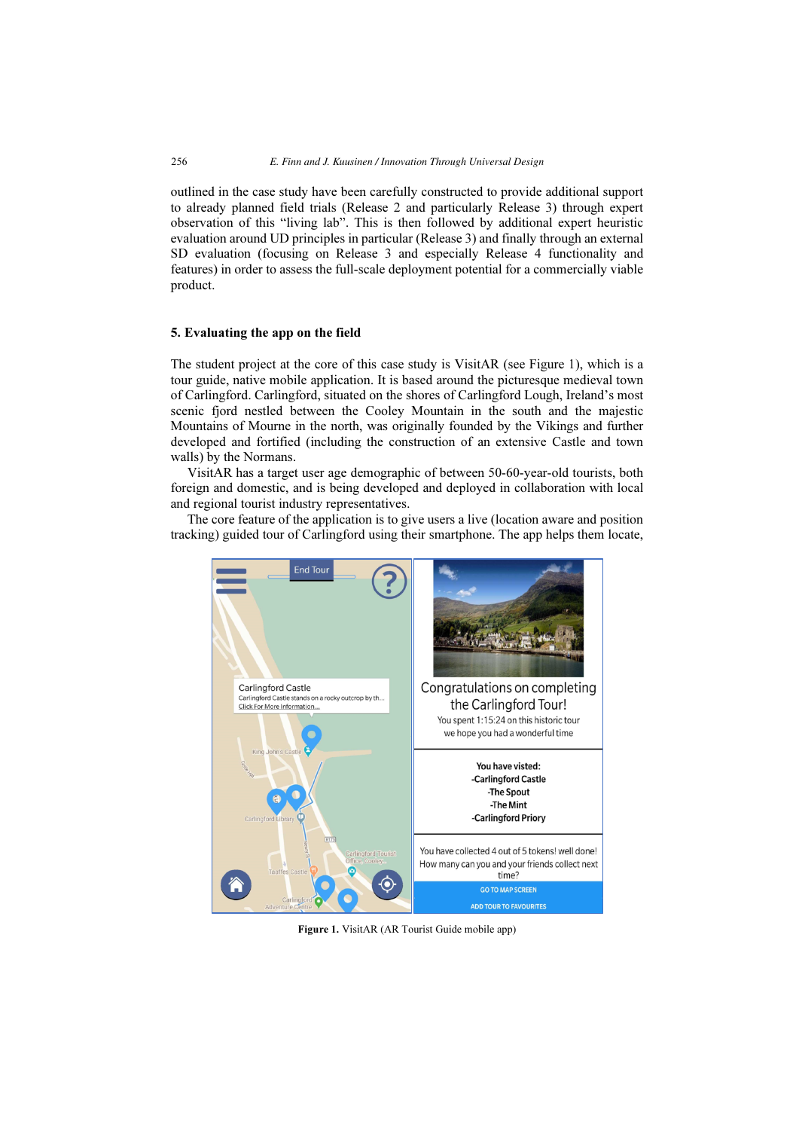outlined in the case study have been carefully constructed to provide additional support to already planned field trials (Release 2 and particularly Release 3) through expert observation of this "living lab". This is then followed by additional expert heuristic evaluation around UD principles in particular (Release 3) and finally through an external SD evaluation (focusing on Release 3 and especially Release 4 functionality and features) in order to assess the full-scale deployment potential for a commercially viable product.

## 5. Evaluating the app on the field

The student project at the core of this case study is VisitAR (see Figure 1), which is a tour guide, native mobile application. It is based around the picturesque medieval town of Carlingford. Carlingford, situated on the shores of Carlingford Lough, Ireland's most scenic fjord nestled between the Cooley Mountain in the south and the majestic Mountains of Mourne in the north, was originally founded by the Vikings and further developed and fortified (including the construction of an extensive Castle and town walls) by the Normans.

 VisitAR has a target user age demographic of between 50-60-year-old tourists, both foreign and domestic, and is being developed and deployed in collaboration with local and regional tourist industry representatives.

 The core feature of the application is to give users a live (location aware and position tracking) guided tour of Carlingford using their smartphone. The app helps them locate,



Figure 1. VisitAR (AR Tourist Guide mobile app)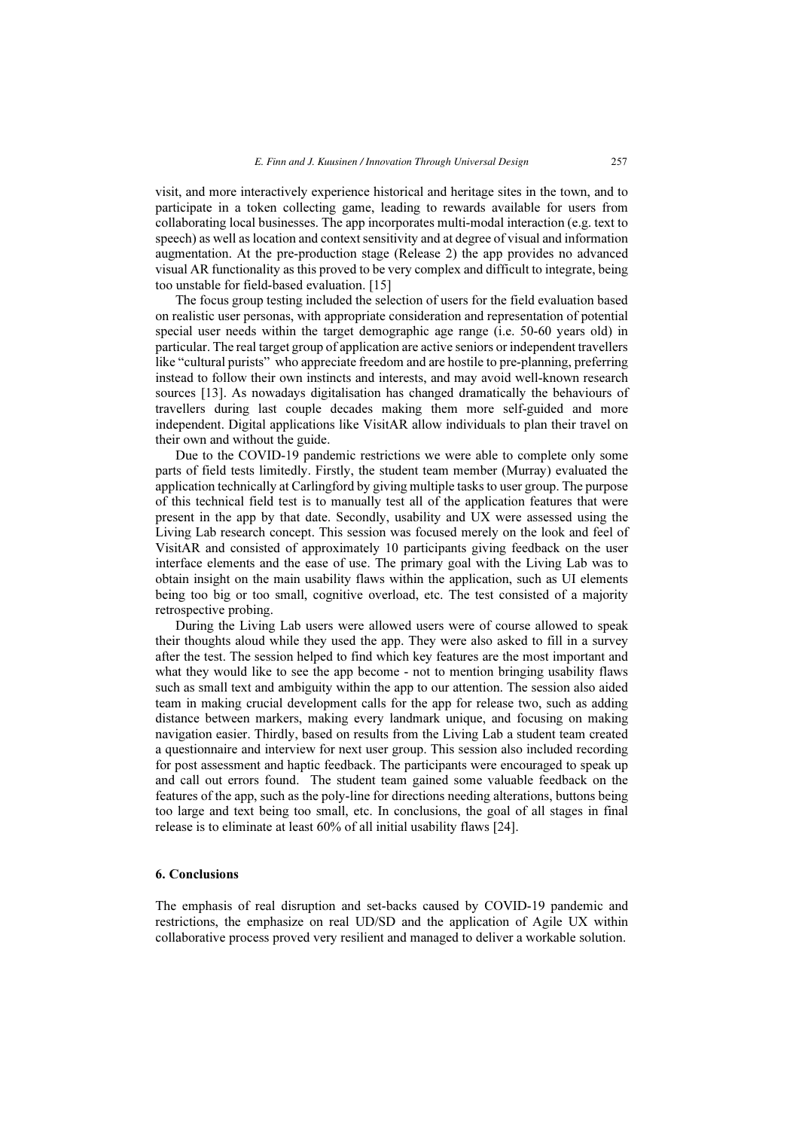visit, and more interactively experience historical and heritage sites in the town, and to participate in a token collecting game, leading to rewards available for users from collaborating local businesses. The app incorporates multi-modal interaction (e.g. text to speech) as well as location and context sensitivity and at degree of visual and information augmentation. At the pre-production stage (Release 2) the app provides no advanced visual AR functionality as this proved to be very complex and difficult to integrate, being too unstable for field-based evaluation. [15]

 The focus group testing included the selection of users for the field evaluation based on realistic user personas, with appropriate consideration and representation of potential special user needs within the target demographic age range (i.e. 50-60 years old) in particular. The real target group of application are active seniors or independent travellers like "cultural purists" who appreciate freedom and are hostile to pre-planning, preferring instead to follow their own instincts and interests, and may avoid well-known research sources [13]. As nowadays digitalisation has changed dramatically the behaviours of travellers during last couple decades making them more self-guided and more independent. Digital applications like VisitAR allow individuals to plan their travel on their own and without the guide.

 Due to the COVID-19 pandemic restrictions we were able to complete only some parts of field tests limitedly. Firstly, the student team member (Murray) evaluated the application technically at Carlingford by giving multiple tasks to user group. The purpose of this technical field test is to manually test all of the application features that were present in the app by that date. Secondly, usability and UX were assessed using the Living Lab research concept. This session was focused merely on the look and feel of VisitAR and consisted of approximately 10 participants giving feedback on the user interface elements and the ease of use. The primary goal with the Living Lab was to obtain insight on the main usability flaws within the application, such as UI elements being too big or too small, cognitive overload, etc. The test consisted of a majority retrospective probing.

 During the Living Lab users were allowed users were of course allowed to speak their thoughts aloud while they used the app. They were also asked to fill in a survey after the test. The session helped to find which key features are the most important and what they would like to see the app become - not to mention bringing usability flaws such as small text and ambiguity within the app to our attention. The session also aided team in making crucial development calls for the app for release two, such as adding distance between markers, making every landmark unique, and focusing on making navigation easier. Thirdly, based on results from the Living Lab a student team created a questionnaire and interview for next user group. This session also included recording for post assessment and haptic feedback. The participants were encouraged to speak up and call out errors found. The student team gained some valuable feedback on the features of the app, such as the poly-line for directions needing alterations, buttons being too large and text being too small, etc. In conclusions, the goal of all stages in final release is to eliminate at least 60% of all initial usability flaws [24].

#### 6. Conclusions

The emphasis of real disruption and set-backs caused by COVID-19 pandemic and restrictions, the emphasize on real UD/SD and the application of Agile UX within collaborative process proved very resilient and managed to deliver a workable solution.